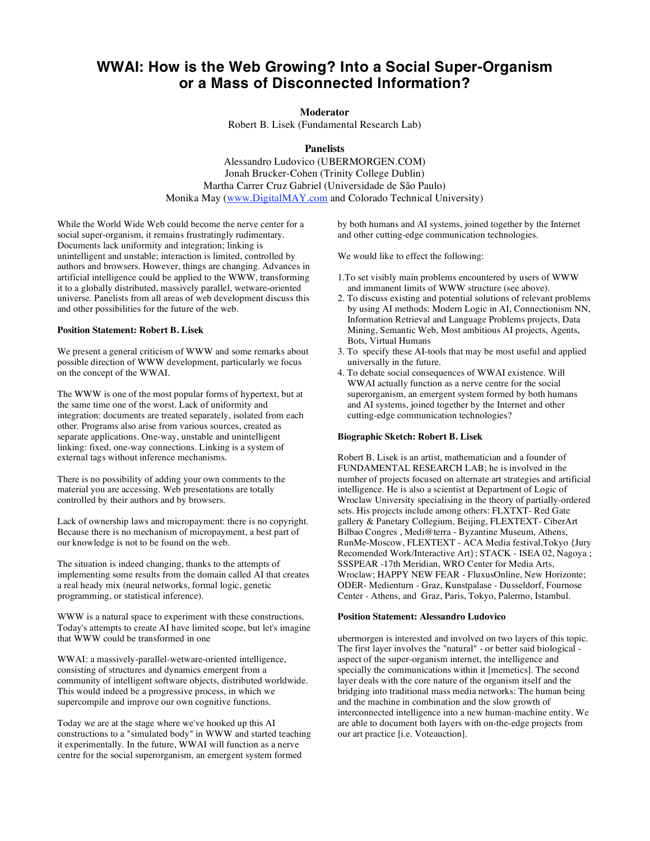# **WWAI: How is the Web Growing? Into a Social Super-Organism or a Mass of Disconnected Information?**

# **Moderator**

Robert B. Lisek (Fundamental Research Lab)

# **Panelists**

Alessandro Ludovico (UBERMORGEN.COM) Jonah Brucker-Cohen (Trinity College Dublin) Martha Carrer Cruz Gabriel (Universidade de São Paulo) Monika May (www.DigitalMAY.com and Colorado Technical University)

While the World Wide Web could become the nerve center for a social super-organism, it remains frustratingly rudimentary. Documents lack uniformity and integration; linking is unintelligent and unstable; interaction is limited, controlled by authors and browsers. However, things are changing. Advances in artificial intelligence could be applied to the WWW, transforming it to a globally distributed, massively parallel, wetware-oriented universe. Panelists from all areas of web development discuss this and other possibilities for the future of the web.

## **Position Statement: Robert B. Lisek**

We present a general criticism of WWW and some remarks about possible direction of WWW development, particularly we focus on the concept of the WWAI.

The WWW is one of the most popular forms of hypertext, but at the same time one of the worst. Lack of uniformity and integration: documents are treated separately, isolated from each other. Programs also arise from various sources, created as separate applications. One-way, unstable and unintelligent linking: fixed, one-way connections. Linking is a system of external tags without inference mechanisms.

There is no possibility of adding your own comments to the material you are accessing. Web presentations are totally controlled by their authors and by browsers.

Lack of ownership laws and micropayment: there is no copyright. Because there is no mechanism of micropayment, a best part of our knowledge is not to be found on the web.

The situation is indeed changing, thanks to the attempts of implementing some results from the domain called AI that creates a real heady mix (neural networks, formal logic, genetic programming, or statistical inference).

WWW is a natural space to experiment with these constructions. Today's attempts to create AI have limited scope, but let's imagine that WWW could be transformed in one

WWAI: a massively-parallel-wetware-oriented intelligence, consisting of structures and dynamics emergent from a community of intelligent software objects, distributed worldwide. This would indeed be a progressive process, in which we supercompile and improve our own cognitive functions.

Today we are at the stage where we've hooked up this AI constructions to a "simulated body" in WWW and started teaching it experimentally. In the future, WWAI will function as a nerve centre for the social superorganism, an emergent system formed

by both humans and AI systems, joined together by the Internet and other cutting-edge communication technologies.

We would like to effect the following:

- 1.To set visibly main problems encountered by users of WWW and immanent limits of WWW structure (see above).
- 2. To discuss existing and potential solutions of relevant problems by using AI methods: Modern Logic in AI, Connectionism NN, Information Retrieval and Language Problems projects, Data Mining, Semantic Web, Most ambitious AI projects, Agents, Bots, Virtual Humans
- 3. To specify these AI-tools that may be most useful and applied universally in the future.
- 4. To debate social consequences of WWAI existence. Will WWAI actually function as a nerve centre for the social superorganism, an emergent system formed by both humans and AI systems, joined together by the Internet and other cutting-edge communication technologies?

## **Biographic Sketch: Robert B. Lisek**

Robert B. Lisek is an artist, mathematician and a founder of FUNDAMENTAL RESEARCH LAB; he is involved in the number of projects focused on alternate art strategies and artificial intelligence. He is also a scientist at Department of Logic of Wroclaw University specialising in the theory of partially-ordered sets. His projects include among others: FLXTXT- Red Gate gallery & Panetary Collegium, Beijing, FLEXTEXT- CiberArt Bilbao Congres , Medi@terra - Byzantine Museum, Athens, RunMe-Moscow, FLEXTEXT - ACA Media festival,Tokyo {Jury Recomended Work/Interactive Art}; STACK - ISEA 02, Nagoya ; SSSPEAR -17th Meridian, WRO Center for Media Arts, Wroclaw; HAPPY NEW FEAR - FluxusOnline, New Horizonte; ODER- Medienturn - Graz, Kunstpalase - Dusseldorf, Fournose Center - Athens, and Graz, Paris, Tokyo, Palermo, Istambul.

### **Position Statement: Alessandro Ludovico**

ubermorgen is interested and involved on two layers of this topic. The first layer involves the "natural" - or better said biological aspect of the super-organism internet, the intelligence and specially the communications within it [memetics]. The second layer deals with the core nature of the organism itself and the bridging into traditional mass media networks: The human being and the machine in combination and the slow growth of interconnected intelligence into a new human-machine entity. We are able to document both layers with on-the-edge projects from our art practice [i.e. Voteauction].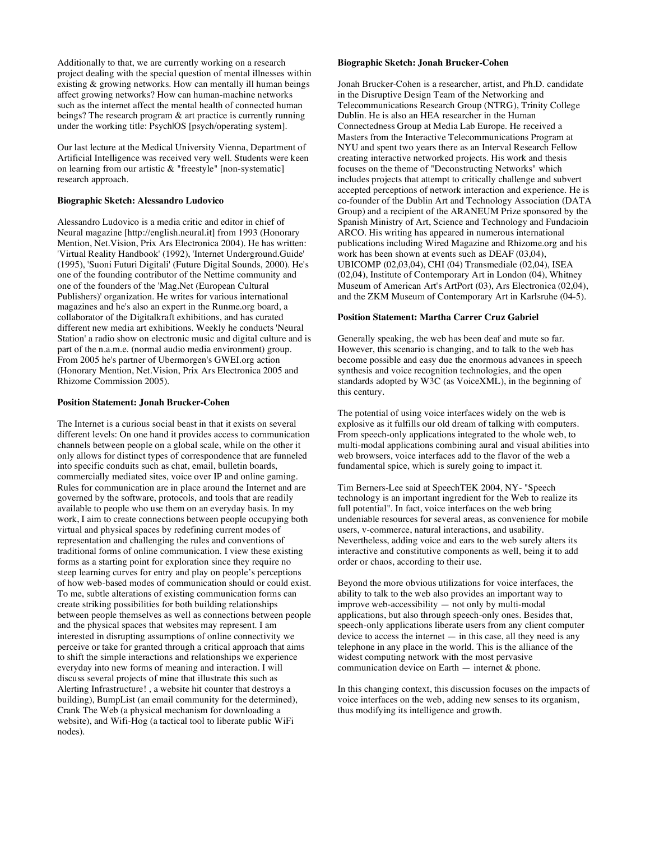Additionally to that, we are currently working on a research project dealing with the special question of mental illnesses within existing & growing networks. How can mentally ill human beings affect growing networks? How can human-machine networks such as the internet affect the mental health of connected human beings? The research program & art practice is currently running under the working title: Psych|OS [psych/operating system].

Our last lecture at the Medical University Vienna, Department of Artificial Intelligence was received very well. Students were keen on learning from our artistic & "freestyle" [non-systematic] research approach.

## **Biographic Sketch: Alessandro Ludovico**

Alessandro Ludovico is a media critic and editor in chief of Neural magazine [http://english.neural.it] from 1993 (Honorary Mention, Net.Vision, Prix Ars Electronica 2004). He has written: 'Virtual Reality Handbook' (1992), 'Internet Underground.Guide' (1995), 'Suoni Futuri Digitali' (Future Digital Sounds, 2000). He's one of the founding contributor of the Nettime community and one of the founders of the 'Mag.Net (European Cultural Publishers)' organization. He writes for various international magazines and he's also an expert in the Runme.org board, a collaborator of the Digitalkraft exhibitions, and has curated different new media art exhibitions. Weekly he conducts 'Neural Station' a radio show on electronic music and digital culture and is part of the n.a.m.e. (normal audio media environment) group. From 2005 he's partner of Ubermorgen's GWEI.org action (Honorary Mention, Net.Vision, Prix Ars Electronica 2005 and Rhizome Commission 2005).

#### **Position Statement: Jonah Brucker-Cohen**

The Internet is a curious social beast in that it exists on several different levels: On one hand it provides access to communication channels between people on a global scale, while on the other it only allows for distinct types of correspondence that are funneled into specific conduits such as chat, email, bulletin boards, commercially mediated sites, voice over IP and online gaming. Rules for communication are in place around the Internet and are governed by the software, protocols, and tools that are readily available to people who use them on an everyday basis. In my work, I aim to create connections between people occupying both virtual and physical spaces by redefining current modes of representation and challenging the rules and conventions of traditional forms of online communication. I view these existing forms as a starting point for exploration since they require no steep learning curves for entry and play on people's perceptions of how web-based modes of communication should or could exist. To me, subtle alterations of existing communication forms can create striking possibilities for both building relationships between people themselves as well as connections between people and the physical spaces that websites may represent. I am interested in disrupting assumptions of online connectivity we perceive or take for granted through a critical approach that aims to shift the simple interactions and relationships we experience everyday into new forms of meaning and interaction. I will discuss several projects of mine that illustrate this such as Alerting Infrastructure! , a website hit counter that destroys a building), BumpList (an email community for the determined), Crank The Web (a physical mechanism for downloading a website), and Wifi-Hog (a tactical tool to liberate public WiFi nodes).

# **Biographic Sketch: Jonah Brucker-Cohen**

Jonah Brucker-Cohen is a researcher, artist, and Ph.D. candidate in the Disruptive Design Team of the Networking and Telecommunications Research Group (NTRG), Trinity College Dublin. He is also an HEA researcher in the Human Connectedness Group at Media Lab Europe. He received a Masters from the Interactive Telecommunications Program at NYU and spent two years there as an Interval Research Fellow creating interactive networked projects. His work and thesis focuses on the theme of "Deconstructing Networks" which includes projects that attempt to critically challenge and subvert accepted perceptions of network interaction and experience. He is co-founder of the Dublin Art and Technology Association (DATA Group) and a recipient of the ARANEUM Prize sponsored by the Spanish Ministry of Art, Science and Technology and Fundacioin ARCO. His writing has appeared in numerous international publications including Wired Magazine and Rhizome.org and his work has been shown at events such as DEAF (03,04), UBICOMP (02,03,04), CHI (04) Transmediale (02,04), ISEA (02,04), Institute of Contemporary Art in London (04), Whitney Museum of American Art's ArtPort (03), Ars Electronica (02,04), and the ZKM Museum of Contemporary Art in Karlsruhe (04-5).

## **Position Statement: Martha Carrer Cruz Gabriel**

Generally speaking, the web has been deaf and mute so far. However, this scenario is changing, and to talk to the web has become possible and easy due the enormous advances in speech synthesis and voice recognition technologies, and the open standards adopted by W3C (as VoiceXML), in the beginning of this century.

The potential of using voice interfaces widely on the web is explosive as it fulfills our old dream of talking with computers. From speech-only applications integrated to the whole web, to multi-modal applications combining aural and visual abilities into web browsers, voice interfaces add to the flavor of the web a fundamental spice, which is surely going to impact it.

Tim Berners-Lee said at SpeechTEK 2004, NY- "Speech technology is an important ingredient for the Web to realize its full potential". In fact, voice interfaces on the web bring undeniable resources for several areas, as convenience for mobile users, v-commerce, natural interactions, and usability. Nevertheless, adding voice and ears to the web surely alters its interactive and constitutive components as well, being it to add order or chaos, according to their use.

Beyond the more obvious utilizations for voice interfaces, the ability to talk to the web also provides an important way to improve web-accessibility — not only by multi-modal applications, but also through speech-only ones. Besides that, speech-only applications liberate users from any client computer device to access the internet  $-$  in this case, all they need is any telephone in any place in the world. This is the alliance of the widest computing network with the most pervasive communication device on Earth — internet & phone.

In this changing context, this discussion focuses on the impacts of voice interfaces on the web, adding new senses to its organism, thus modifying its intelligence and growth.